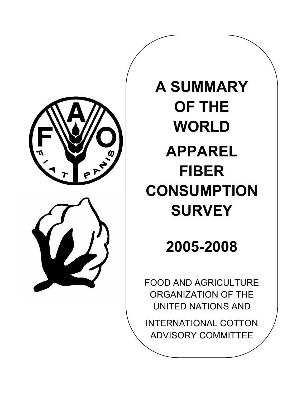



# **A SUMMARY OF THE WORLD APPAREL FIBER CONSUMPTION SURVEY**

# **2005-2008**

FOOD AND AGRICULTURE ORGANIZATION OF THE UNITED NATIONS AND

INTERNATIONAL COTTON ADVISORY COMMITTEE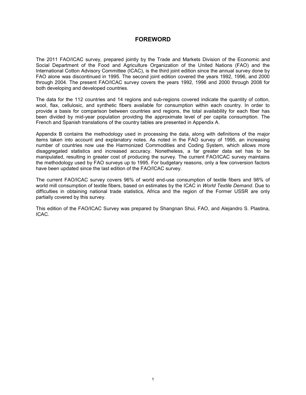## **FOREWORD**

The 2011 FAO/ICAC survey, prepared jointly by the Trade and Markets Division of the Economic and Social Department of the Food and Agriculture Organization of the United Nations (FAO) and the International Cotton Advisory Committee (ICAC), is the third joint edition since the annual survey done by FAO alone was discontinued in 1995. The second joint edition covered the years 1992, 1996, and 2000 through 2004. The present FAO/ICAC survey covers the years 1992, 1996 and 2000 through 2008 for both developing and developed countries.

The data for the 112 countries and 14 regions and sub-regions covered indicate the quantity of cotton, wool, flax, cellulosic, and synthetic fibers available for consumption within each country. In order to provide a basis for comparison between countries and regions, the total availability for each fiber has been divided by mid-year population providing the approximate level of per capita consumption. The French and Spanish translations of the country tables are presented in Appendix A.

Appendix B contains the methodology used in processing the data, along with definitions of the major items taken into account and explanatory notes. As noted in the FAO survey of 1995, an increasing number of countries now use the Harmonized Commodities and Coding System, which allows more disaggregated statistics and increased accuracy. Nonetheless, a far greater data set has to be manipulated, resulting in greater cost of producing the survey. The current FAO/ICAC survey maintains the methodology used by FAO surveys up to 1995. For budgetary reasons, only a few conversion factors have been updated since the last edition of the FAO/ICAC survey.

The current FAO/ICAC survey covers 96% of world end-use consumption of textile fibers and 98% of world mill consumption of textile fibers, based on estimates by the ICAC in *World Textile Demand*. Due to difficulties in obtaining national trade statistics, Africa and the region of the Former USSR are only partially covered by this survey.

This edition of the FAO/ICAC Survey was prepared by Shangnan Shui, FAO, and Alejandro S. Plastina, ICAC.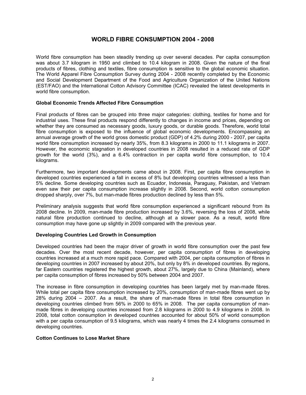## **WORLD FIBRE CONSUMPTION 2004 - 2008**

World fibre consumption has been steadily trending up over several decades. Per capita consumption was about 3.7 kilogram in 1950 and climbed to 10.4 kilogram in 2008. Given the nature of the final products of fibres, clothing and textiles, fibre consumption is sensitive to the global economic situation. The World Apparel Fibre Consumption Survey during 2004 - 2008 recently completed by the Economic and Social Development Department of the Food and Agriculture Organization of the United Nations (EST/FAO) and the International Cotton Advisory Committee (ICAC) revealed the latest developments in world fibre consumption.

#### **Global Economic Trends Affected Fibre Consumption**

Final products of fibres can be grouped into three major categories: clothing, textiles for home and for industrial uses. These final products respond differently to changes in income and prices, depending on whether they are consumed as necessary goods, luxury goods, or durable goods. Therefore, world total fibre consumption is exposed to the influence of global economic developments. Encompassing an annual average growth of the world gross domestic product (GDP) of 4.2% during 2000 - 2007, per capita world fibre consumption increased by nearly 35%, from 8.3 kilograms in 2000 to 11.1 kilograms in 2007. However, the economic stagnation in developed countries in 2008 resulted in a reduced rate of GDP growth for the world (3%), and a 6.4% contraction in per capita world fibre consumption, to 10.4 kilograms.

Furthermore, two important developments came about in 2008. First, per capita fibre consumption in developed countries experienced a fall in excess of 8% but developing countries witnessed a less than 5% decline. Some developing countries such as Ecuador, Indonesia, Paraguay, Pakistan, and Vietnam even saw their per capita consumption increase slightly in 2008. Second, world cotton consumption dropped sharply, over 7%, but man-made fibres production declined by less than 5%.

Preliminary analysis suggests that world fibre consumption experienced a significant rebound from its 2008 decline. In 2009, man-made fibre production increased by 3.6%, reversing the loss of 2008, while natural fibre production continued to decline, although at a slower pace. As a result, world fibre consumption may have gone up slightly in 2009 compared with the previous year.

#### **Developing Countries Led Growth in Consumption**

Developed countries had been the major driver of growth in world fibre consumption over the past few decades. Over the most recent decade, however, per capita consumption of fibres in developing countries increased at a much more rapid pace. Compared with 2004, per capita consumption of fibres in developing countries in 2007 increased by about 20%, but only by 8% in developed countries. By regions, far Eastern countries registered the highest growth, about 27%, largely due to China (Mainland), where per capita consumption of fibres increased by 50% between 2004 and 2007.

The increase in fibre consumption in developing countries has been largely met by man-made fibres. While total per capita fibre consumption increased by 20%, consumption of man-made fibres went up by 28% during 2004 – 2007. As a result, the share of man-made fibres in total fibre consumption in developing countries climbed from 56% in 2000 to 65% in 2008. The per capita consumption of manmade fibres in developing countries increased from 2.8 kilograms in 2000 to 4.9 kilograms in 2008. In 2008, total cotton consumption in developed countries accounted for about 50% of world consumption with a per capita consumption of 9.5 kilograms, which was nearly 4 times the 2.4 kilograms consumed in developing countries.

#### **Cotton Continues to Lose Market Share**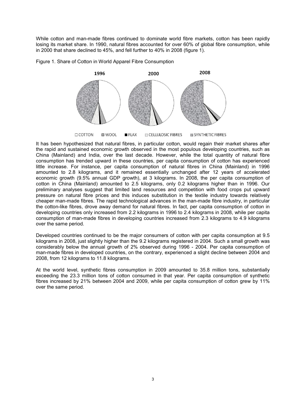While cotton and man-made fibres continued to dominate world fibre markets, cotton has been rapidly losing its market share. In 1990, natural fibres accounted for over 60% of global fibre consumption, while in 2000 that share declined to 45%, and fell further to 40% in 2008 (figure 1).





It has been hypothesized that natural fibres, in particular cotton, would regain their market shares after the rapid and sustained economic growth observed in the most populous developing countries, such as China (Mainland) and India, over the last decade. However, while the total quantity of natural fibre consumption has trended upward in these countries, per capita consumption of cotton has experienced little increase. For instance, per capita consumption of natural fibres in China (Mainland) in 1996 amounted to 2.8 kilograms, and it remained essentially unchanged after 12 years of accelerated economic growth (9.5% annual GDP growth), at 3 kilograms. In 2008, the per capita consumption of cotton in China (Mainland) amounted to 2.5 kilograms, only 0.2 kilograms higher than in 1996. Our preliminary analyses suggest that limited land resources and competition with food crops put upward pressure on natural fibre prices and this induces substitution in the textile industry towards relatively cheaper man-made fibres. The rapid technological advances in the man-made fibre industry, in particular the cotton-like fibres, drove away demand for natural fibres. In fact, per capita consumption of cotton in developing countries only increased from 2.2 kilograms in 1996 to 2.4 kilograms in 2008, while per capita consumption of man-made fibres in developing countries increased from 2.3 kilograms to 4.9 kilograms over the same period.

Developed countries continued to be the major consumers of cotton with per capita consumption at 9.5 kilograms in 2008, just slightly higher than the 9.2 kilograms registered in 2004. Such a small growth was considerably below the annual growth of 2% observed during 1996 - 2004. Per capita consumption of man-made fibres in developed countries, on the contrary, experienced a slight decline between 2004 and 2008, from 12 kilograms to 11.8 kilograms.

At the world level, synthetic fibres consumption in 2009 amounted to 35.8 million tons, substantially exceeding the 23.3 million tons of cotton consumed in that year. Per capita consumption of synthetic fibres increased by 21% between 2004 and 2009, while per capita consumption of cotton grew by 11% over the same period.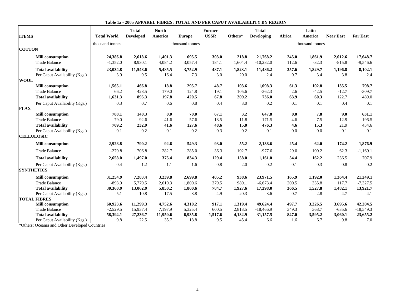| <b>ITEMS</b>                  | <b>Total World</b> | <b>Total</b><br><b>Developed</b> | <b>North</b><br>America | <b>Europe</b>   | Former<br><b>USSR</b> | Others* | <b>Total</b><br><b>Developing</b> | Africa | Latin<br>America | <b>Near East</b> | <b>Far East</b> |
|-------------------------------|--------------------|----------------------------------|-------------------------|-----------------|-----------------------|---------|-----------------------------------|--------|------------------|------------------|-----------------|
|                               |                    |                                  |                         |                 |                       |         |                                   |        |                  |                  |                 |
|                               | thousand tonnes    |                                  |                         | thousand tonnes |                       |         |                                   |        | thousand tonnes  |                  |                 |
| <b>COTTON</b>                 |                    |                                  |                         |                 |                       |         |                                   |        |                  |                  |                 |
| <b>Mill consumption</b>       | 24,386.8           | 2,618.6                          | 1,401.3                 | 695.5           | 303.0                 | 218.8   | 21,768.2                          | 245.0  | 1,861.9          | 2,012.6          | 17,648.7        |
| <b>Trade Balance</b>          | $-1,352.0$         | 8,930.1                          | 4,084.2                 | 3,057.4         | 184.1                 | 1,604.4 | $-10,282.0$                       | 112.6  | $-32.3$          | $-815.8$         | $-9,546.6$      |
| <b>Total availability</b>     | 23,034.8           | 11,548.6                         | 5,485.5                 | 3,752.9         | 487.1                 | 1,823.1 | 11,486.2                          | 357.6  | 1,829.7          | 1,196.8          | 8,102.1         |
| Per Caput Availability (Kgs.) | 3.9                | 9.5                              | 16.4                    | 7.3             | 3.0                   | 20.0    | 2.4                               | 0.7    | 3.4              | 3.8              | 2.4             |
| <b>WOOL</b>                   |                    |                                  |                         |                 |                       |         |                                   |        |                  |                  |                 |
| <b>Mill</b> consumption       | 1,565.1            | 466.8                            | 18.8                    | 295.7           | 48.7                  | 103.6   | 1,098.3                           | 61.3   | 102.8            | 135.5            | 798.7           |
| <b>Trade Balance</b>          | 66.2               | 428.5                            | 179.0                   | 124.8           | 19.1                  | 105.6   | $-362.3$                          | 2.6    | $-42.5$          | $-12.7$          | $-309.7$        |
| <b>Total availability</b>     | 1,631.3            | 895.3                            | 197.8                   | 420.5           | 67.8                  | 209.2   | 736.0                             | 63.9   | 60.3             | 122.7            | 489.0           |
| Per Caput Availability (Kgs.) | 0.3                | 0.7                              | 0.6                     | 0.8             | 0.4                   | 3.0     | 0.2                               | 0.1    | 0.1              | 0.4              | 0.1             |
| <b>FLAX</b>                   |                    |                                  |                         |                 |                       |         |                                   |        |                  |                  |                 |
| <b>Mill consumption</b>       | 788.1              | 140.3                            | 0.0                     | 70.0            | 67.1                  | 3.2     | 647.8                             | 0.0    | 7.8              | 9.0              | 631.1           |
| <b>Trade Balance</b>          | $-79.0$            | 92.6                             | 41.6                    | 57.6            | $-18.5$               | 11.8    | $-171.5$                          | 4.6    | 7.5              | 12.9             | $-196.5$        |
| <b>Total availability</b>     | 709.2              | 232.9                            | 41.6                    | 127.6           | 48.6                  | 15.0    | 476.3                             | 4.6    | 15.3             | 21.9             | 434.6           |
| Per Caput Availability (Kgs.) | 0.1                | 0.2                              | 0.1                     | 0.2             | 0.3                   | 0.2     | 0.1                               | 0.0    | 0.0              | 0.1              | 0.1             |
| <b>CELLULOSIC</b>             |                    |                                  |                         |                 |                       |         |                                   |        |                  |                  |                 |
| <b>Mill consumption</b>       | 2,928.8            | 790.2                            | 92.6                    | 549.3           | 93.0                  | 55.2    | 2,138.6                           | 25.4   | 62.0             | 174.2            | 1,876.9         |
| <b>Trade Balance</b>          | $-270.8$           | 706.8                            | 282.7                   | 285.0           | 36.3                  | 102.7   | $-977.6$                          | 29.0   | 100.2            | 62.3             | $-1,169.1$      |
| <b>Total availability</b>     | 2,658.0            | 1,497.0                          | 375.4                   | 834.3           | 129.4                 | 158.0   | 1,161.0                           | 54.4   | 162.2            | 236.5            | 707.9           |
| Per Caput Availability (Kgs.) | 0.4                | 1.2                              | 1.1                     | 1.6             | 0.8                   | 2.0     | 0.2                               | 0.1    | 0.3              | 0.8              | 0.2             |
| <b>SYNTHETICS</b>             |                    |                                  |                         |                 |                       |         |                                   |        |                  |                  |                 |
| <b>Mill consumption</b>       | 31,254.9           | 7,283.4                          | 3,239.8                 | 2,699.8         | 405.2                 | 938.6   | 23,971.5                          | 165.9  | 1,192.0          | 1,364.4          | 21,249.1        |
| <b>Trade Balance</b>          | $-893.9$           | 5.779.5                          | 2,610.3                 | 1,800.6         | 379.5                 | 989.1   | $-6.673.4$                        | 200.5  | 335.8            | 117.7            | $-7,327.5$      |
| <b>Total availability</b>     | 30,360.9           | 13,062.9                         | 5,850.2                 | 1,800.6         | 784.7                 | 1,927.6 | 17,298.0                          | 366.5  | 1,527.8          | 1,482.1          | 13,921.7        |
| Per Caput Availability (Kgs.) | 5.1                | 10.8                             | 17.5                    | 8.8             | 4.9                   | 20.3    | 3.6                               | 0.7    | 2.8              | 4.7              | 4.1             |
| <b>TOTAL FIBRES</b>           |                    |                                  |                         |                 |                       |         |                                   |        |                  |                  |                 |
| <b>Mill</b> consumption       | 60,923.6           | 11,299.3                         | 4,752.6                 | 4,310.2         | 917.1                 | 1,319.4 | 49,624.4                          | 497.7  | 3,226.5          | 3,695.6          | 42,204.5        |
| <b>Trade Balance</b>          | $-2,529.5$         | 15,937.4                         | 7,197.9                 | 5,325.4         | 600.5                 | 2,813.5 | $-18,466.9$                       | 349.3  | 368.7            | $-635.6$         | $-18,549.3$     |
| <b>Total availability</b>     | 58,394.1           | 27,236.7                         | 11,950.6                | 6,935.8         | 1,517.6               | 4,132.9 | 31,157.5                          | 847.0  | 3,595.2          | 3,060.1          | 23,655.2        |
| Per Caput Availability (Kgs.) | 9.8                | 22.5                             | 35.7                    | 18.8            | 9.5                   | 45.4    | 6.6                               | 1.6    | 6.7              | 9.8              | 7.0             |

| Table 1a - 2005 APPAREL FIBRES: TOTAL AND PER CAPUT AVAILABILITY BY REGION |  |  |
|----------------------------------------------------------------------------|--|--|
|----------------------------------------------------------------------------|--|--|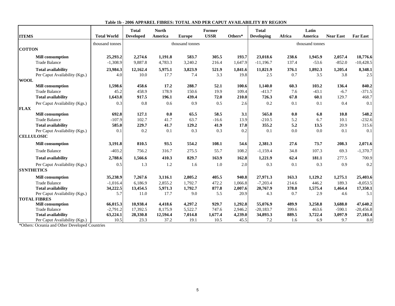|                               |                    | <b>Total</b>     | <b>North</b> |                 | Former      |         | <b>Total</b>      |        | Latin           |                  |                 |
|-------------------------------|--------------------|------------------|--------------|-----------------|-------------|---------|-------------------|--------|-----------------|------------------|-----------------|
| <b>ITEMS</b>                  | <b>Total World</b> | <b>Developed</b> | America      | <b>Europe</b>   | <b>USSR</b> | Others* | <b>Developing</b> | Africa | America         | <b>Near East</b> | <b>Far East</b> |
|                               | thousand tonnes    |                  |              | thousand tonnes |             |         |                   |        | thousand tonnes |                  |                 |
| <b>COTTON</b>                 |                    |                  |              |                 |             |         |                   |        |                 |                  |                 |
| <b>Mill consumption</b>       | 25,293.2           | 2,274.6          | 1,191.8      | 583.7           | 305.5       | 193.7   | 23,018.6          | 238.6  | 1,945.9         | 2,057.4          | 18,776.6        |
| <b>Trade Balance</b>          | $-1,308.9$         | 9,887.8          | 4,783.3      | 3,240.2         | 216.4       | 1,647.9 | $-11,196.7$       | 137.4  | $-53.6$         | $-852.0$         | $-10,428.5$     |
| <b>Total availability</b>     | 23,984.3           | 12,162.4         | 5,975.1      | 3,823.9         | 521.9       | 1,841.6 | 11,821.9          | 376.1  | 1,892.3         | 1,205.4          | 8,348.1         |
| Per Caput Availability (Kgs.) | 4.0                | 10.0             | 17.7         | 7.4             | 3.3         | 19.8    | 2.5               | 0.7    | 3.5             | 3.8              | $2.5\,$         |
| <b>WOOL</b>                   |                    |                  |              |                 |             |         |                   |        |                 |                  |                 |
| <b>Mill</b> consumption       | 1,598.6            | 458.6            | 17.2         | 288.7           | 52.1        | 100.6   | 1,140.0           | 60.3   | 103.2           | 136.4            | 840.2           |
| <b>Trade Balance</b>          | 45.2               | 458.9            | 178.9        | 150.6           | 19.9        | 109.4   | $-413.7$          | 7.6    | $-43.1$         | $-6.7$           | $-371.5$        |
| <b>Total availability</b>     | 1,643.8            | 917.5            | 196.1        | 439.4           | 72.0        | 210.0   | 726.3             | 67.8   | 60.1            | 129.7            | 468.7           |
| Per Caput Availability (Kgs.) | 0.3                | $0.8\,$          | 0.6          | 0.9             | 0.5         | 2.6     | 0.2               | 0.1    | 0.1             | 0.4              | 0.1             |
| <b>FLAX</b>                   |                    |                  |              |                 |             |         |                   |        |                 |                  |                 |
| <b>Mill consumption</b>       | 692.8              | 127.1            | 0.0          | 65.5            | 58.5        | 3.1     | 565.8             | 0.0    | 6.8             | 10.8             | 548.2           |
| <b>Trade Balance</b>          | $-107.9$           | 102.7            | 41.7         | 63.7            | $-16.6$     | 13.9    | $-210.5$          | 5.2    | 6.7             | 10.1             | $-232.6$        |
| <b>Total availability</b>     | 585.0              | 229.7            | 41.7         | 129.2           | 41.9        | 17.0    | 355.2             | 5.2    | 13.5            | 20.9             | 315.6           |
| Per Caput Availability (Kgs.) | 0.1                | 0.2              | 0.1          | 0.3             | 0.3         | 0.2     | 0.1               | 0.0    | 0.0             | 0.1              | 0.1             |
| <b>CELLULOSIC</b>             |                    |                  |              |                 |             |         |                   |        |                 |                  |                 |
| <b>Mill consumption</b>       | 3,191.8            | 810.5            | 93.5         | 554.2           | 108.1       | 54.6    | 2,381.3           | 27.6   | 73.7            | 208.3            | 2,071.6         |
| <b>Trade Balance</b>          | $-403.2$           | 756.2            | 316.7        | 275.5           | 55.7        | 108.2   | $-1,159.4$        | 34.8   | 107.3           | 69.3             | $-1,370.7$      |
| <b>Total availability</b>     | 2,788.6            | 1,566.6          | 410.3        | 829.7           | 163.9       | 162.8   | 1,221.9           | 62.4   | 181.1           | 277.5            | 700.9           |
| Per Caput Availability (Kgs.) | 0.5                | 1.3              | 1.2          | 1.6             | 1.0         | 2.0     | 0.3               | 0.1    | 0.3             | 0.9              | 0.2             |
| <b>SYNTHETICS</b>             |                    |                  |              |                 |             |         |                   |        |                 |                  |                 |
| <b>Mill consumption</b>       | 35,238.9           | 7,267.6          | 3,116.1      | 2,805.2         | 405.5       | 940.8   | 27,971.3          | 163.3  | 1,129.2         | 1,275.1          | 25,403.6        |
| <b>Trade Balance</b>          | $-1,016.4$         | 6,186.9          | 2,855.2      | 1,792.7         | 472.2       | 1,066.8 | $-7,203.4$        | 214.6  | 446.2           | 189.3            | $-8,053.5$      |
| <b>Total availability</b>     | 34,222.5           | 13,454.5         | 5,971.3      | 1,792.7         | 877.8       | 2,007.6 | 20,767.9          | 378.0  | 1,575.4         | 1,464.4          | 17,350.1        |
| Per Caput Availability (Kgs.) | 5.7                | 11.0             | 17.7         | 9.0             | 5.5         | 20.9    | 4.3               | 0.7    | 2.9             | 4.6              | 5.1             |
| <b>TOTAL FIBRES</b>           |                    |                  |              |                 |             |         |                   |        |                 |                  |                 |
| <b>Mill consumption</b>       | 66,015.3           | 10,938.4         | 4,418.6      | 4,297.2         | 929.7       | 1,292.8 | 55,076.9          | 489.9  | 3,258.8         | 3,688.0          | 47,640.2        |
| <b>Trade Balance</b>          | $-2,791.2$         | 17,392.5         | 8,175.9      | 5,522.7         | 747.6       | 2,946.2 | $-20,183.7$       | 399.6  | 463.6           | $-590.1$         | $-20,456.8$     |
| <b>Total availability</b>     | 63,224.1           | 28,330.8         | 12,594.4     | 7,014.8         | 1,677.4     | 4,239.0 | 34,893.3          | 889.5  | 3,722.4         | 3,097.9          | 27,183.4        |
| Per Caput Availability (Kgs.) | 10.5               | 23.3             | 37.2         | 19.1            | 10.5        | 45.5    | 7.2               | 1.6    | 6.9             | 9.7              | 8.0             |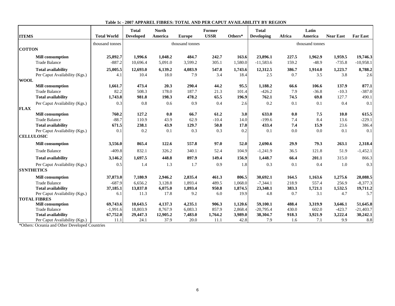| <b>ITEMS</b>                  | <b>Total World</b> | <b>Total</b><br><b>Developed</b> | <b>North</b><br>America | <b>Europe</b>   | Former<br><b>USSR</b> | Others* | <b>Total</b><br><b>Developing</b> | <b>Africa</b> | Latin<br>America | <b>Near East</b> | <b>Far East</b> |
|-------------------------------|--------------------|----------------------------------|-------------------------|-----------------|-----------------------|---------|-----------------------------------|---------------|------------------|------------------|-----------------|
|                               |                    |                                  |                         |                 |                       |         |                                   |               |                  |                  |                 |
|                               | thousand tonnes    |                                  |                         | thousand tonnes |                       |         |                                   |               | thousand tonnes  |                  |                 |
| <b>COTTON</b>                 |                    |                                  |                         |                 |                       |         |                                   |               |                  |                  |                 |
| <b>Mill consumption</b>       | 25,892.7           | 1.996.6                          | 1,048.2                 | 484.7           | 242.7                 | 163.6   | 23,896.1                          | 227.5         | 1,962.9          | 1,959.5          | 19,746.3        |
| <b>Trade Balance</b>          | $-887.2$           | 10,696.4                         | 5,091.0                 | 3,599.2         | 305.1                 | 1,580.0 | $-11,583.6$                       | 159.2         | $-48.9$          | $-735.8$         | $-10,958.1$     |
| <b>Total availability</b>     | 25,005.5           | 12,693.0                         | 6,139.2                 | 4,083.9         | 547.8                 | 1,743.6 | 12,312.5                          | 386.7         | 1,914.0          | 1,223.7          | 8,788.2         |
| Per Caput Availability (Kgs.) | 4.1                | 10.4                             | 18.0                    | 7.9             | 3.4                   | 18.4    | 2.5                               | 0.7           | 3.5              | 3.8              | 2.6             |
| <b>WOOL</b>                   |                    |                                  |                         |                 |                       |         |                                   |               |                  |                  |                 |
| <b>Mill</b> consumption       | 1,661.7            | 473.4                            | 20.3                    | 290.4           | 44.2                  | 95.5    | 1,188.2                           | 66.6          | 106.6            | 137.9            | 877.1           |
| <b>Trade Balance</b>          | 82.2               | 508.3                            | 178.0                   | 187.7           | 21.3                  | 101.4   | $-426.2$                          | 7.9           | $-36.8$          | $-10.3$          | $-387.0$        |
| <b>Total availability</b>     | 1,743.8            | 981.8                            | 198.3                   | 478.2           | 65.5                  | 196.9   | 762.1                             | 74.5          | 69.8             | 127.7            | 490.1           |
| Per Caput Availability (Kgs.) | 0.3                | 0.8                              | 0.6                     | 0.9             | 0.4                   | 2.6     | 0.2                               | 0.1           | 0.1              | 0.4              | 0.1             |
| <b>FLAX</b>                   |                    |                                  |                         |                 |                       |         |                                   |               |                  |                  |                 |
| <b>Mill consumption</b>       | 760.2              | 127.2                            | 0.0                     | 66.7            | 61.2                  | 3.0     | 633.0                             | 0.0           | 7.5              | 10.0             | 615.5           |
| <b>Trade Balance</b>          | $-88.7$            | 110.9                            | 43.9                    | 62.9            | $-10.4$               | 14.0    | $-199.6$                          | 7.4           | 8.4              | 13.6             | $-229.1$        |
| <b>Total availability</b>     | 671.5              | 238.1                            | 43.9                    | 129.7           | 50.8                  | 17.0    | 433.4                             | 7.4           | 15.9             | 23.6             | 386.4           |
| Per Caput Availability (Kgs.) | 0.1                | 0.2                              | 0.1                     | 0.3             | 0.3                   | 0.2     | 0.1                               | 0.0           | 0.0              | 0.1              | 0.1             |
| <b>CELLULOSIC</b>             |                    |                                  |                         |                 |                       |         |                                   |               |                  |                  |                 |
| <b>Mill consumption</b>       | 3,556.0            | 865.4                            | 122.6                   | 557.8           | 97.0                  | 52.0    | 2,690.6                           | 29.9          | 79.3             | 263.1            | 2,318.4         |
| <b>Trade Balance</b>          | $-409.8$           | 832.1                            | 326.2                   | 340.1           | 52.4                  | 104.9   | $-1,241.9$                        | 36.5          | 121.8            | 51.9             | $-1,452.1$      |
| <b>Total availability</b>     | 3,146.2            | 1,697.5                          | 448.8                   | 897.9           | 149.4                 | 156.9   | 1,448.7                           | 66.4          | 201.1            | 315.0            | 866.3           |
| Per Caput Availability (Kgs.) | 0.5                | 1.4                              | 1.3                     | 1.7             | 0.9                   | 1.8     | 0.3                               | 0.1           | 0.4              | 1.0              | 0.3             |
| <b>SYNTHETICS</b>             |                    |                                  |                         |                 |                       |         |                                   |               |                  |                  |                 |
| <b>Mill consumption</b>       | 37,873.0           | 7.180.9                          | 2,946.2                 | 2,835.4         | 461.3                 | 806.5   | 30,692.1                          | 164.5         | 1,163.6          | 1,275.6          | 28,088.5        |
| <b>Trade Balance</b>          | $-687.9$           | 6,656.2                          | 3,128.8                 | 1.893.4         | 489.5                 | 1,068.0 | $-7,344.1$                        | 218.9         | 557.4            | 256.9            | $-8,377.3$      |
| <b>Total availability</b>     | 37,185.1           | 13,837.0                         | 6,075.0                 | 1,893.4         | 950.8                 | 1,874.5 | 23,348.1                          | 383.3         | 1,721.1          | 1,532.5          | 19,711.2        |
| Per Caput Availability (Kgs.) | 6.1                | 11.3                             | 17.8                    | 9.2             | 6.0                   | 19.9    | 4.8                               | 0.7           | 3.1              | 4.7              | 5.7             |
| <b>TOTAL FIBRES</b>           |                    |                                  |                         |                 |                       |         |                                   |               |                  |                  |                 |
| <b>Mill consumption</b>       | 69,743.6           | 10,643.5                         | 4,137.3                 | 4,235.1         | 906.3                 | 1,120.6 | 59,100.1                          | 488.4         | 3,319.9          | 3,646.1          | 51,645.8        |
| <b>Trade Balance</b>          | $-1,991.6$         | 18,803.9                         | 8,767.9                 | 6,083.3         | 857.9                 | 2,868.4 | $-20,795.4$                       | 430.0         | 602.0            | $-423.7$         | $-21,403.7$     |
| <b>Total availability</b>     | 67,752.0           | 29,447.3                         | 12,905.2                | 7,483.0         | 1,764.2               | 3,989.0 | 38,304.7                          | 918.3         | 3,921.9          | 3,222.4          | 30,242.1        |
| Per Caput Availability (Kgs.) | 11.1               | 24.1                             | 37.9                    | 20.0            | 11.1                  | 42.8    | 7.9                               | 1.6           | 7.1              | 9.9              | 8.8             |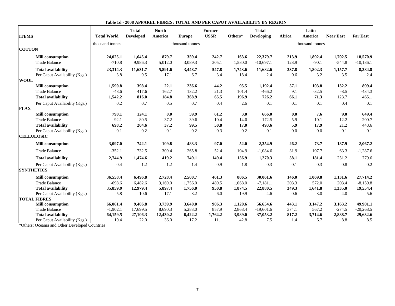| <b>ITEMS</b>                  | <b>Total World</b> | <b>Total</b><br><b>Developed</b> | <b>North</b><br>America | <b>Europe</b>   | Former<br><b>USSR</b> | Others* | <b>Total</b><br><b>Developing</b> | Africa | Latin<br>America | <b>Near East</b> | <b>Far East</b> |
|-------------------------------|--------------------|----------------------------------|-------------------------|-----------------|-----------------------|---------|-----------------------------------|--------|------------------|------------------|-----------------|
|                               |                    |                                  |                         |                 |                       |         |                                   |        |                  |                  |                 |
| <b>COTTON</b>                 | thousand tonnes    |                                  |                         | thousand tonnes |                       |         |                                   |        | thousand tonnes  |                  |                 |
|                               |                    |                                  |                         |                 |                       |         |                                   |        |                  |                  |                 |
| <b>Mill consumption</b>       | 24,025.1           | 1,645.4                          | 879.7                   | 359.4           | 242.7                 | 163.6   | 22,379.7                          | 213.9  | 1,892.4          | 1,702.5          | 18,570.9        |
| <b>Trade Balance</b>          | $-710.8$           | 9,986.3                          | 5,012.0                 | 3,089.3         | 305.1                 | 1,580.0 | $-10,697.1$                       | 123.9  | $-90.1$          | $-544.8$         | $-10,186.1$     |
| <b>Total availability</b>     | 23,314.3           | 11,631.7                         | 5,891.6                 | 3,448.7         | 547.8                 | 1,743.6 | 11,682.6                          | 337.8  | 1,802.3          | 1,157.7          | 8,384.8         |
| Per Caput Availability (Kgs.) | 3.8                | 9.5                              | 17.1                    | 6.7             | 3.4                   | 18.4    | 2.4                               | 0.6    | 3.2              | 3.5              | 2.4             |
| <b>WOOL</b>                   |                    |                                  |                         |                 |                       |         |                                   |        |                  |                  |                 |
| <b>Mill</b> consumption       | 1,590.8            | 398.4                            | 22.1                    | 236.6           | 44.2                  | 95.5    | 1,192.4                           | 57.1   | 103.8            | 132.2            | 899.4           |
| <b>Trade Balance</b>          | $-48.6$            | 417.6                            | 162.7                   | 132.2           | 21.3                  | 101.4   | $-466.2$                          | 9.1    | $-32.5$          | $-8.5$           | $-434.3$        |
| <b>Total availability</b>     | 1,542.2            | 816.0                            | 184.8                   | 368.9           | 65.5                  | 196.9   | 726.2                             | 66.1   | 71.3             | 123.7            | 465.1           |
| Per Caput Availability (Kgs.) | 0.2                | 0.7                              | 0.5                     | 0.7             | 0.4                   | 2.6     | 0.1                               | 0.1    | 0.1              | 0.4              | 0.1             |
| <b>FLAX</b>                   |                    |                                  |                         |                 |                       |         |                                   |        |                  |                  |                 |
| <b>Mill consumption</b>       | 790.1              | 124.1                            | 0.0                     | 59.9            | 61.2                  | 3.0     | 666.0                             | 0.0    | 7.6              | 9.0              | 649.4           |
| <b>Trade Balance</b>          | $-92.1$            | 80.5                             | 37.2                    | 39.6            | $-10.4$               | 14.0    | $-172.5$                          | 5.9    | 10.1             | 12.2             | $-200.7$        |
| <b>Total availability</b>     | 698.2              | 204.6                            | 37.2                    | 99.5            | 50.8                  | 17.0    | 493.6                             | 5.9    | 17.9             | 21.2             | 448.6           |
| Per Caput Availability (Kgs.) | 0.1                | 0.2                              | 0.1                     | 0.2             | 0.3                   | 0.2     | 0.1                               | 0.0    | 0.0              | 0.1              | 0.1             |
| <b>CELLULOSIC</b>             |                    |                                  |                         |                 |                       |         |                                   |        |                  |                  |                 |
| <b>Mill consumption</b>       | 3,097.0            | 742.1                            | 109.8                   | 483.3           | 97.0                  | 52.0    | 2,354.9                           | 26.2   | 73.7             | 187.9            | 2,067.2         |
| <b>Trade Balance</b>          | $-352.1$           | 732.5                            | 309.4                   | 265.8           | 52.4                  | 104.9   | $-1,084.6$                        | 31.9   | 107.7            | 63.3             | $-1,287.6$      |
| <b>Total availability</b>     | 2,744.9            | 1,474.6                          | 419.2                   | 749.1           | 149.4                 | 156.9   | 1,270.3                           | 58.1   | 181.4            | 251.2            | 779.6           |
| Per Caput Availability (Kgs.) | 0.4                | 1.2                              | 1.2                     | 1.4             | 0.9                   | 1.8     | 0.3                               | 0.1    | 0.3              | 0.8              | 0.2             |
| <b>SYNTHETICS</b>             |                    |                                  |                         |                 |                       |         |                                   |        |                  |                  |                 |
| <b>Mill consumption</b>       | 36,558.4           | 6,496.8                          | 2,728.4                 | 2,500.7         | 461.3                 | 806.5   | 30,061.6                          | 146.0  | 1,069.8          | 1,131.6          | 27,714.2        |
| <b>Trade Balance</b>          | $-698.6$           | 6.482.6                          | 3,169.0                 | 1,756.0         | 489.5                 | 1,068.0 | $-7.181.1$                        | 203.3  | 572.0            | 203.4            | $-8,159.8$      |
| <b>Total availability</b>     | 35,859.9           | 12,979.4                         | 5,897.4                 | 1,756.0         | 950.8                 | 1,874.5 | 22,880.5                          | 349.3  | 1,641.8          | 1,335.0          | 19,554.4        |
| Per Caput Availability (Kgs.) | 5.8                | 10.6                             | 17.1                    | 8.2             | 6.0                   | 19.9    | 4.6                               | 0.6    | 3.0              | 4.0              | 5.6             |
| <b>TOTAL FIBRES</b>           |                    |                                  |                         |                 |                       |         |                                   |        |                  |                  |                 |
| <b>Mill</b> consumption       | 66,061.4           | 9,406.8                          | 3,739.9                 | 3,640.0         | 906.3                 | 1,120.6 | 56,654.6                          | 443.1  | 3,147.2          | 3,163.2          | 49,901.1        |
| <b>Trade Balance</b>          | $-1,902.1$         | 17,699.5                         | 8,690.3                 | 5,283.0         | 857.9                 | 2,868.4 | $-19,601.6$                       | 374.1  | 567.2            | $-274.5$         | $-20,268.5$     |
| <b>Total availability</b>     | 64,159.5           | 27,106.3                         | 12,430.2                | 6,422.2         | 1,764.2               | 3,989.0 | 37,053.2                          | 817.2  | 3,714.6          | 2,888.7          | 29,632.6        |
| Per Caput Availability (Kgs.) | 10.4               | 22.0                             | 36.0                    | 17.2            | 11.1                  | 42.8    | 7.5                               | 1.4    | 6.7              | 8.8              | 8.5             |

**Table 1d - 2008 APPAREL FIBRES: TOTAL AND PER CAPUT AVAILABILITY BY REGION**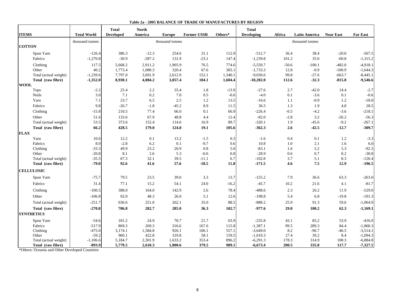|                   |                       |                    | <b>Total</b>     | <b>North</b> |                 |                    |            | <b>Total</b>      |            |                      |                  |                 |
|-------------------|-----------------------|--------------------|------------------|--------------|-----------------|--------------------|------------|-------------------|------------|----------------------|------------------|-----------------|
| <b>ITEMS</b>      |                       | <b>Total World</b> | <b>Developed</b> | America      | <b>Europe</b>   | <b>Former USSR</b> | Others*    | <b>Developing</b> | Africa     | <b>Latin America</b> | <b>Near East</b> | <b>Far East</b> |
|                   |                       | thousand tonnes    |                  |              | thousand tonnes |                    |            |                   |            | thousand tonnes      |                  |                 |
| <b>COTTON</b>     |                       |                    |                  |              |                 |                    |            |                   |            |                      |                  |                 |
|                   | Spun Yarn             | $-126.4$           | 386.3            | $-12.3$      | 254.6           | 31.1               | 112.9      | $-512.7$          | 36.4       | 38.4                 | $-20.0$          | $-567.5$        |
|                   | Fabrics               | $-1,270.8$         | $-30.9$          | $-287.2$     | 131.9           | $-23.1$            | 147.4      | $-1,239.8$        | 101.2      | 35.0                 | $-60.8$          | $-1,315.2$      |
|                   | Clothing              | 117.5              | 5,668.2          | 2.911.2      | 1,905.9         | 76.5               | 774.6      | $-5,550.7$        | $-50.6$    | $-100.1$             | $-482.0$         | $-4,918.1$      |
|                   | Other                 | 40.2               | 1,773.4          | 1,080.3      | 320.4           | 67.6               | 305.1      | $-1,733.3$        | 12.8       | $-0.9$               | $-100.9$         | $-1,644.3$      |
|                   | Total (actual weight) | $-1,239.6$         | 7,797.0          | 3,691.9      | 2,612.9         | 152.1              | 1,340.1    | $-9,036.6$        | 99.8       | $-27.6$              | $-663.7$         | $-8,445.1$      |
|                   | Total (raw fibre)     | $-1,352.0$         | 8,930.1          | 4,084.2      | 3,057.4         | 184.1              | 1,604.4    | $-10,282.0$       | 112.6      | $-32.3$              | $-815.8$         | $-9,546.6$      |
| <b>WOOL</b>       |                       |                    |                  |              |                 |                    |            |                   |            |                      |                  |                 |
|                   | <b>Tops</b>           | $-2.2$             | 25.4             | 2.2          | 35.4            | 1.8                | $-13.9$    | $-27.6$           | 2.7        | $-42.0$              | 14.4             | $-2.7$          |
|                   | <b>Noils</b>          | 3.0                | 7.1              | 0.2          | 7.0             | 0.5                | $-0.6$     | $-4.0$            | 0.1        | $-3.6$               | 0.1              | $-0.6$          |
|                   | Yarn                  | 7.1                | 23.7             | 6.5          | 2.5             | 1.2                | 13.5       | $-16.6$           | 1.1        | $-0.9$               | 1.2              | $-18.0$         |
|                   | Fabrics               | 9.8                | $-26.7$          | $-1.8$       | $-45.2$         | 8.9                | 11.5       | 36.5              | 1.3        | 1.9                  | 4.8              | 28.5            |
|                   | Clothing              | $-15.8$            | 210.5            | 77.4         | 66.0            | 0.1                | 66.9       | $-226.4$          | $-0.5$     | $-4.2$               | $-3.6$           | $-218.1$        |
|                   | Other                 | 51.6               | 133.6            | 67.9         | 48.8            | 4.4                | 12.4       | $-82.0$           | $-2.8$     | 3.2                  | $-26.2$          | $-56.3$         |
|                   | Total (actual weight) | 53.5               | 373.6            | 152.4        | 114.6           | 16.9               | 89.7       | $-320.1$          | 1.9        | $-45.6$              | $-9.2$           | $-267.1$        |
|                   | Total (raw fibre)     | 66.2               | 428.5            | 179.0        | 124.8           | 19.1               | 105.6      | $-362.3$          | 2.6        | $-42.5$              | $-12.7$          | $-309.7$        |
| <b>FLAX</b>       |                       |                    |                  |              |                 |                    |            |                   |            |                      |                  |                 |
|                   | Yarn                  | 10.6               | 12.2             | 0.1          | 13.2            | $-1.5$             | 0.3        | $-1.6$            | 0.4        | 0.1                  | 1.2              | $-3.3$          |
|                   | Fabrics<br>Clothing   | 8.0<br>$-33.3$     | $-2.8$<br>49.9   | 6.2<br>23.2  | 0.1<br>20.9     | $-9.7$<br>0.8      | 0.6<br>5.0 | 10.8<br>$-83.1$   | 1.0<br>1.6 | 2.1<br>2.2           | 1.6<br>5.3       | 6.0<br>$-92.3$  |
|                   | Other                 | $-20.8$            | 8.1              | 2.6          | 5.3             | $-0.6$             | 0.8        | $-28.9$           | 0.6        | 0.7                  | 0.2              | $-30.8$         |
|                   | Total (actual weight) | $-35.5$            | 67.3             | 32.1         | 39.5            | $-11.1$            | 6.7        | $-102.8$          | 3.7        | 5.1                  | 8.3              | $-120.4$        |
|                   | Total (raw fibre)     | $-79.0$            | 92.6             | 41.6         | 57.6            | $-18.5$            | 11.8       | $-171.5$          | 4.6        | 7.5                  | 12.9             | $-196.5$        |
|                   |                       |                    |                  |              |                 |                    |            |                   |            |                      |                  |                 |
| <b>CELLULOSIC</b> |                       |                    |                  |              |                 |                    |            |                   |            |                      |                  |                 |
|                   | Spun Yarn             | $-75.7$            | 79.5             | 23.5         | 39.0            | 3.3                | 13.7       | $-155.2$          | 7.9        | 36.6                 | 63.3             | $-263.0$        |
|                   | Fabrics               | 31.4               | 77.1             | 15.2         | 54.1            | 24.0               | $-16.2$    | $-45.7$           | 10.2       | 21.6                 | 4.1              | $-81.7$         |
|                   | Clothing              | $-100.5$           | 388.0            | 164.0        | 142.9           | 2.6                | 78.4       | $-488.6$          | 2.3        | 26.2                 | 11.9             | $-529.0$        |
|                   | Other                 | $-106.8$           | 92.0             | 48.3         | 26.0            | 5.1                | 12.6       | $-198.8$          | 5.4        | 6.8                  | $-19.8$          | $-191.3$        |
|                   | Total (actual weight) | $-251.7$           | 636.6            | 251.0        | 262.1           | 35.0               | 88.5       | $-888.2$          | 25.9       | 91.3                 | 59.6             | $-1,064.9$      |
|                   | Total (raw fibre)     | $-270.8$           | 706.8            | 282.7        | 285.0           | 36.3               | 102.7      | $-977.6$          | 29.0       | 100.2                | 62.3             | $-1,169.1$      |
| <b>SYNTHETICS</b> |                       |                    |                  |              |                 |                    |            |                   |            |                      |                  |                 |
|                   | Spun Yarn             | $-54.6$            | 181.2            | 24.9         | 70.7            | 21.7               | 63.9       | $-235.8$          | 43.1       | 83.2                 | 53.9             | -416.0          |
|                   | Fabrics               | $-517.9$           | 869.3            | 269.3        | 316.6           | 167.6              | 115.8      | $-1,387.1$        | 99.5       | 289.3                | 84.4             | $-1,860.3$      |
|                   | Clothing              | $-475.0$           | 3,174.1          | 1,584.8      | 926.1           | 106.1              | 557.1      | $-3,649.0$        | 8.2        | $-96.7$              | $-46.5$          | $-3,514.1$      |
|                   | Other                 | $-59.2$            | 960.1            | 422.8        | 319.8           | 58.1               | 159.5      | $-1,019.3$        | 27.4       | 39.2                 | 8.4              | $-1,094.3$      |
|                   | Total (actual weight) | $-1,106.6$         | 5,184.7          | 2,301.9      | 1,633.2         | 353.4              | 896.2      | $-6,291.3$        | 178.3      | 314.9                | 100.3            | $-6,884.8$      |
|                   | Total (raw fibre)     | $-893.9$           | 5,779.5          | 2,610.3      | 1,800.6         | 379.5              | 989.1      | $-6,673.4$        | 200.5      | 335.8                | 117.7            | $-7,327.5$      |

#### **Table 2a - 2005 BALANCE OF TRADE OF MANUFACTURES BY REGION**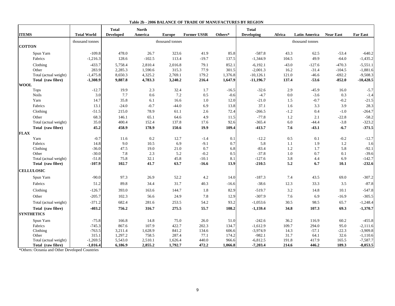|                       |                    | <b>Total</b>     | <b>North</b> |                 |                    |         | <b>Total</b>      |         |                      |                  |                 |
|-----------------------|--------------------|------------------|--------------|-----------------|--------------------|---------|-------------------|---------|----------------------|------------------|-----------------|
| <b>ITEMS</b>          | <b>Total World</b> | <b>Developed</b> | America      | <b>Europe</b>   | <b>Former USSR</b> | Others* | <b>Developing</b> | Africa  | <b>Latin America</b> | <b>Near East</b> | <b>Far East</b> |
|                       | thousand tonnes    |                  |              | thousand tonnes |                    |         |                   |         | thousand tonnes      |                  |                 |
| <b>COTTON</b>         |                    |                  |              |                 |                    |         |                   |         |                      |                  |                 |
| Spun Yarn             | $-109.8$           | 478.0            | 26.7         | 323.6           | 41.9               | 85.8    | $-587.8$          | 43.3    | 62.5                 | $-53.4$          | $-640.2$        |
| Fabrics               | $-1,216.3$         | 128.6            | $-102.5$     | 113.4           | $-19.7$            | 137.5   | $-1,344.9$        | 104.5   | 49.9                 | $-64.0$          | $-1,435.2$      |
| Clothing              | $-433.7$           | 5,758.4          | 2,810.4      | 2,016.8         | 79.1               | 852.1   | $-6.192.1$        | $-43.0$ | $-127.6$             | $-470.3$         | $-5,551.1$      |
| Other                 | 283.9              | 2,285.3          | 1,590.6      | 315.3           | 77.9               | 301.5   | $-2,001.3$        | 16.2    | $-31.4$              | $-104.5$         | $-1,881.6$      |
| Total (actual weight) | $-1,475.8$         | 8,650.3          | 4,325.2      | 2,769.1         | 179.2              | 1,376.8 | $-10,126.1$       | 121.0   | $-46.6$              | $-692.2$         | $-9,508.3$      |
| Total (raw fibre)     | $-1,308.9$         | 9,887.8          | 4,783.3      | 3,240.2         | 216.4              | 1,647.9 | $-11,196.7$       | 137.4   | $-53.6$              | $-852.0$         | $-10,428.5$     |
| <b>WOOL</b>           |                    |                  |              |                 |                    |         |                   |         |                      |                  |                 |
| <b>Tops</b>           | $-12.7$            | 19.9             | 2.3          | 32.4            | 1.7                | $-16.5$ | $-32.6$           | 2.9     | $-45.9$              | 16.0             | $-5.7$          |
| <b>Noils</b>          | 3.0                | 7.7              | 0.6          | $7.2\,$         | 0.5                | $-0.6$  | $-4.7$            | 0.0     | $-3.6$               | 0.3              | $-1.4$          |
| Yarn                  | 14.7               | 35.8             | 6.1          | 16.6            | 1.0                | 12.0    | $-21.0$           | 1.5     | $-0.7$               | $-0.2$           | $-21.5$         |
| Fabrics               | 13.1               | $-24.0$          | $-0.7$       | $-44.0$         | 6.9                | 13.8    | 37.1              | 1.6     | 3.3                  | 3.9              | 28.3            |
| Clothing              | $-51.5$            | 215.0            | 78.9         | 61.1            | 2.6                | 72.4    | $-266.5$          | $-1.2$  | 0.4                  | $-1.0$           | $-264.7$        |
| Other                 | 68.3               | 146.1            | 65.1         | 64.6            | 4.9                | 11.5    | $-77.8$           | 1.2     | 2.1                  | $-22.8$          | $-58.2$         |
| Total (actual weight) | 35.0               | 400.4            | 152.4        | 137.8           | 17.6               | 92.6    | $-365.4$          | 6.0     | $-44.4$              | $-3.8$           | $-323.2$        |
| Total (raw fibre)     | 45.2               | 458.9            | 178.9        | 150.6           | 19.9               | 109.4   | $-413.7$          | 7.6     | $-43.1$              | $-6.7$           | $-371.5$        |
| <b>FLAX</b>           |                    |                  |              |                 |                    |         |                   |         |                      |                  |                 |
| Yarn                  | $-0.7$             | 11.6             | 0.2          | 12.7            | $-1.4$             | 0.1     | $-12.2$           | 0.5     | 0.1                  | $-0.2$           | $-12.7$         |
| Fabrics               | 14.8               | 9.0              | 10.5         | 6.9             | $-9.1$             | 0.7     | 5.8               | 1.1     | 1.9                  | 1.2              | 1.6             |
| Clothing              | $-36.0$            | 47.5             | 19.0         | 21.0            | 0.7                | 6.8     | $-83.4$           | 1.2     | 1.7                  | 5.8              | $-92.1$         |
| Other                 | $-30.0$            | 7.8              | 2.3          | 5.2             | $-0.2$             | 0.5     | $-37.8$           | 1.0     | 0.7                  | 0.1              | $-39.6$         |
| Total (actual weight) | $-51.8$            | 75.8             | 32.1         | 45.8            | $-10.1$            | 8.1     | $-127.6$          | 3.8     | 4.4                  | 6.9              | $-142.7$        |
| Total (raw fibre)     | $-107.9$           | 102.7            | 41.7         | 63.7            | $-16.6$            | 13.9    | $-210.5$          | 5.2     | 6.7                  | 10.1             | $-232.6$        |
| <b>CELLULOSIC</b>     |                    |                  |              |                 |                    |         |                   |         |                      |                  |                 |
| Spun Yarn             | $-90.0$            | 97.3             | 26.9         | 52.2            | 4.2                | 14.0    | $-187.3$          | 7.4     | 43.5                 | 69.0             | $-307.2$        |
| Fabrics               | 51.2               | 89.8             | 34.4         | 31.7            | 40.3               | $-16.6$ | $-38.6$           | 12.3    | 33.3                 | 3.5              | $-87.8$         |
| Clothing              | $-126.7$           | 393.0            | 163.6        | 144.7           | 1.8                | 82.9    | $-519.7$          | 3.2     | 14.8                 | 10.1             | $-547.8$        |
| Other                 | $-205.7$           | 102.3            | 56.6         | 24.9            | 7.8                | 12.9    | $-307.9$          | 7.6     | 6.9                  | $-16.9$          | $-305.5$        |
| Total (actual weight) | $-371.2$           | 682.4            | 281.6        | 253.5           | 54.2               | 93.2    | $-1,053.6$        | 30.5    | 98.5                 | 65.7             | $-1,248.4$      |
| Total (raw fibre)     | $-403.2$           | 756.2            | 316.7        | 275.5           | 55.7               | 108.2   | $-1,159.4$        | 34.8    | 107.3                | 69.3             | $-1,370.7$      |
| <b>SYNTHETICS</b>     |                    |                  |              |                 |                    |         |                   |         |                      |                  |                 |
| Spun Yarn             | $-75.8$            | 166.8            | 14.8         | 75.0            | 26.0               | 51.0    | $-242.6$          | 36.2    | 116.9                | 60.2             | $-455.8$        |
| Fabrics               | $-745.3$           | 867.6            | 107.9        | 422.7           | 202.3              | 134.7   | $-1,612.9$        | 109.7   | 294.0                | 95.0             | $-2,111.6$      |
| Clothing              | $-763.5$           | 3,211.4          | 1,628.9      | 841.2           | 134.6              | 606.6   | $-3,974.9$        | 14.3    | $-57.1$              | $-22.3$          | $-3,909.8$      |
| Other                 | 315.1              | 1,297.2          | 758.5        | 287.4           | 77.1               | 174.2   | $-982.1$          | 31.7    | 64.1                 | 32.6             | $-1,110.6$      |
| Total (actual weight) | $-1,269.5$         | 5,543.0          | 2,510.1      | 1,626.4         | 440.0              | 966.6   | $-6,812.5$        | 191.8   | 417.9                | 165.5            | $-7,587.7$      |
| Total (raw fibre)     | $-1,016.4$         | 6,186.9          | 2,855.2      | 1,792.7         | 472.2              | 1,066.8 | $-7,203.4$        | 214.6   | 446.2                | 189.3            | $-8,053.5$      |

#### **Table 2b - 2006 BALANCE OF TRADE OF MANUFACTURES BY REGION**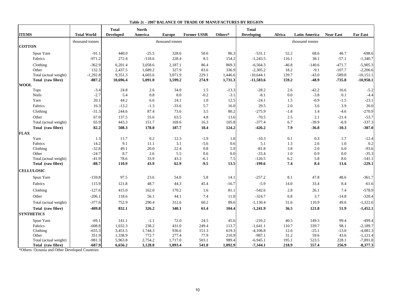|                       |                    | <b>Total</b>     | <b>North</b> |                 |                    |         | <b>Total</b>      |         |                      |                  |                 |
|-----------------------|--------------------|------------------|--------------|-----------------|--------------------|---------|-------------------|---------|----------------------|------------------|-----------------|
| <b>ITEMS</b>          | <b>Total World</b> | <b>Developed</b> | America      | <b>Europe</b>   | <b>Former USSR</b> | Others* | <b>Developing</b> | Africa  | <b>Latin America</b> | <b>Near East</b> | <b>Far East</b> |
|                       | thousand tonnes    |                  |              | thousand tonnes |                    |         |                   |         | thousand tonnes      |                  |                 |
| <b>COTTON</b>         |                    |                  |              |                 |                    |         |                   |         |                      |                  |                 |
| Spun Yarn             | $-91.1$            | 440.0            | $-25.5$      | 328.6           | 50.6               | 86.3    | $-531.1$          | 52.2    | 68.6                 | 46.7             | $-698.6$        |
| Fabrics               | $-971.2$           | 272.4            | $-118.6$     | 228.4           | 8.5                | 154.2   | $-1,243.5$        | 116.1   | 38.1                 | $-57.1$          | $-1,340.7$      |
| Clothing              | $-362.9$           | 6,201.4          | 3,058.6      | 2,187.1         | 86.4               | 869.3   | $-6,564.3$        | $-46.8$ | $-140.6$             | $-471.7$         | $-5,905.3$      |
| Other                 | 132.3              | 2,437.5          | 1,689.2      | 327.9           | 83.6               | 336.9   | $-2,305.2$        | 18.2    | $-9.1$               | $-107.7$         | $-2,206.6$      |
| Total (actual weight) | $-1,292.8$         | 9.351.3          | 4,603.6      | 3,071.9         | 229.1              | 1,446.6 | $-10,644.1$       | 139.7   | $-43.0$              | $-589.8$         | $-10,151.1$     |
| Total (raw fibre)     | $-887.2$           | 10,696.4         | 5,091.0      | 3,599.2         | 274.9              | 1,731.3 | $-11,583.6$       | 159.2   | $-48.9$              | $-735.8$         | $-10,958.1$     |
| <b>WOOL</b>           |                    |                  |              |                 |                    |         |                   |         |                      |                  |                 |
| Tops                  | $-3.4$             | 24.8             | 2.6          | 34.0            | 1.5                | $-13.3$ | $-28.2$           | 2.6     | $-42.2$              | 16.6             | $-5.2$          |
| <b>Noils</b>          | $-2.7$             | 5.4              | 0.8          | 8.0             | $-0.2$             | $-3.1$  | $-8.1$            | 0.0     | $-3.8$               | 0.1              | $-4.4$          |
| Yarn                  | 20.1               | 44.2             | 6.6          | 24.1            | 1.0                | 12.5    | $-24.1$           | 1.5     | $-0.9$               | $-1.5$           | $-23.1$         |
| Fabrics               | 16.3               | $-13.2$          | $-1.3$       | $-33.6$         | 5.7                | 16.0    | 29.5              | 2.0     | 3.6                  | 3.9              | 20.0            |
| Clothing              | $-31.3$            | 244.6            | 87.4         | 73.6            | 3.5                | 80.2    | $-275.9$          | $-1.8$  | 1.4                  | $-4.6$           | $-270.9$        |
| Other                 | 67.0               | 137.5            | 55.6         | 63.5            | 4.8                | 13.6    | $-70.5$           | 2.5     | 2.1                  | $-21.4$          | $-53.7$         |
| Total (actual weight) | 65.9               | 443.3            | 151.7        | 169.6           | 16.3               | 105.8   | $-377.4$          | 6.7     | $-39.9$              | $-6.9$           | $-337.3$        |
| Total (raw fibre)     | 82.2               | 508.3            | 178.0        | 187.7           | 18.4               | 124.2   | $-426.2$          | 7.9     | $-36.8$              | $-10.3$          | $-387.0$        |
| <b>FLAX</b>           |                    |                  |              |                 |                    |         |                   |         |                      |                  |                 |
| Yarn                  | 1.3                | 11.7             | 0.2          | 12.3            | $-1.9$             | 1.0     | $-10.3$           | 0.1     | 0.3                  | 1.7              | $-12.4$         |
| Fabrics               | 14.2               | 9.1              | 11.1         | 3.1             | $-5.6$             | 0.6     | 5.1               | 1.3     | 2.6                  | 1.0              | 0.2             |
| Clothing              | $-32.8$            | 49.1             | 20.0         | 22.4            | 0.8                | 5.9     | $-81.8$           | 3.8     | $2.0\,$              | 6.0              | $-93.6$         |
| Other                 | $-24.7$            | 8.7              | 2.6          | 5.5             | 0.6                | 0.0     | $-33.4$           | 1.0     | 0.9                  | 0.0              | $-35.3$         |
| Total (actual weight) | $-41.9$            | 78.6             | 33.9         | 43.3            | $-6.1$             | $7.5\,$ | $-120.5$          | 6.2     | 5.8                  | 8.6              | $-141.1$        |
| Total (raw fibre)     | $-88.7$            | 110.9            | 43.9         | 62.9            | $-9.5$             | 13.5    | $-199.6$          | 7.4     | 8.4                  | 13.6             | $-229.1$        |
| <b>CELLULOSIC</b>     |                    |                  |              |                 |                    |         |                   |         |                      |                  |                 |
| Spun Yarn             | $-159.8$           | 97.5             | 23.6         | 54.0            | 5.8                | 14.1    | $-257.2$          | 8.1     | 47.8                 | 48.6             | $-361.7$        |
| Fabrics               | 115.9              | 121.8            | 48.7         | 44.3            | 45.4               | $-16.7$ | $-5.9$            | 14.0    | 33.4                 | 8.4              | $-61.6$         |
| Clothing              | $-127.6$           | 415.0            | 162.0        | 170.2           | 1.6                | 81.1    | $-542.6$          | 2.8     | 26.1                 | 7.4              | $-578.9$        |
| Other                 | $-206.1$           | 118.6            | 56.1         | 44.1            | 7.4                | 11.0    | $-324.7$          | 6.8     | 3.7                  | $-14.8$          | $-320.4$        |
| Total (actual weight) | $-377.6$           | 752.9            | 290.4        | 312.6           | 60.2               | 89.6    | $-1,130.4$        | 31.6    | 110.9                | 49.6             | $-1,322.6$      |
| Total (raw fibre)     | $-409.8$           | 832.1            | 326.2        | 340.1           | 61.4               | 104.4   | $-1,241.9$        | 36.5    | 121.8                | 51.9             | $-1,452.1$      |
| <b>SYNTHETICS</b>     |                    |                  |              |                 |                    |         |                   |         |                      |                  |                 |
| Spun Yarn             | $-69.1$            | 141.1            | $-1.1$       | 72.0            | 24.5               | 45.6    | $-210.2$          | 40.5    | 149.3                | 99.4             | $-499.4$        |
| Fabrics               | $-608.8$           | 1,032.3          | 238.2        | 431.0           | 249.4              | 113.7   | $-1,641.1$        | 110.7   | 339.7                | 98.1             | $-2,189.7$      |
| Clothing              | $-655.3$           | 3,451.5          | 1,744.3      | 936.6           | 151.3              | 619.3   | $-4,106.8$        | 12.6    | $-25.1$              | $-13.0$          | $-4,081.3$      |
| Other                 | 351.9              | 1,338.9          | 772.7        | 277.4           | 77.9               | 210.9   | $-987.1$          | 31.2    | 59.6                 | 43.6             | $-1,121.4$      |
| Total (actual weight) | $-981.3$           | 5,963.8          | 2,754.2      | 1,717.0         | 503.1              | 989.4   | $-6,945.1$        | 195.1   | 523.5                | 228.1            | $-7,891.8$      |
| Total (raw fibre)     | -687.9             | 6,656.2          | 3,128.8      | 1,893.4         | 541.0              | 1,092.9 | $-7,344.1$        | 218.9   | 557.4                | 256.9            | $-8,377.3$      |

#### **Table 2c - 2007 BALANCE OF TRADE OF MANUFACTURES BY REGION**